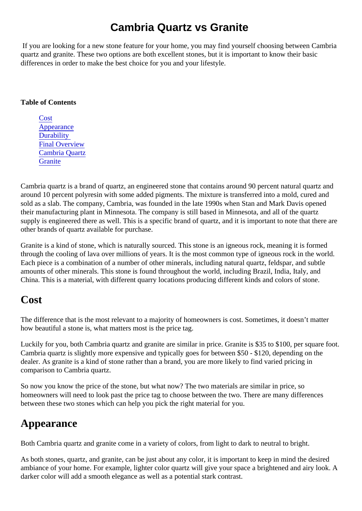### Cambria Quartz vs Granite

If you are looking for a new stone feature for your home, you may find yourself choosing between Cambri quartz and granite. These two options are both excellent stones, but it is important to know their basic differences in order to make the best choice for you and your lifestyle.

#### Table of Contents

**Cost** Appearance **Durability** [Final Overview](#page-2-0) [Cambria Quart](#page-2-0)z **[Granite](#page-2-0)** 

Cambria quartz is a brand of quartz, an engineered stone that contains around 90 percent natural quartz and around 10 percent polyresin with some added pigments. The mixture is transferred into a mold, cured and sold as a slab. The company, Cambria, was founded in the late 1990s when Stan and Mark Davis opened their manufacturing plant in Minnesota. The company is still based in Minnesota, and all of the quartz supply is engineered there as well. This is a specific brand of quartz, and it is important to note that there a other brands of quartz available for purchase.

Granite is a kind of stone, which is naturally sourced. This stone is an igneous rock, meaning it is formed through the cooling of lava over millions of years. It is the most common type of igneous rock in the world. Each piece is a combination of a number of other minerals, including natural quartz, feldspar, and subtle amounts of other minerals. This stone is found throughout the world, including Brazil, India, Italy, and China. This is a material, with different quarry locations producing different kinds and colors of stone.

#### Cost

The difference that is the most relevant to a majority of homeowners is cost. Sometimes, it doesn't matter how beautiful a stone is, what matters most is the price tag.

Luckily for you, both Cambria quartz and granite are similar in price. Granite is \$35 to \$100, per square for Cambria quartz is slightly more expensive and typically goes for between \$50 - \$120, depending on the dealer. As granite is a kind of stone rather than a brand, you are more likely to find varied pricing in comparison to Cambria quartz.

So now you know the price of the stone, but what now? The two materials are similar in price, so homeowners will need to look past the price tag to choose between the two. There are many differences between these two stones which can help you pick the right material for you.

# Appearance

Both Cambria quartz and granite come in a variety of colors, from light to dark to neutral to bright.

As both stones, quartz, and granite, can be just about any color, it is important to keep in mind the desired ambiance of your home. For example, lighter color quartz will give your space a brightened and airy look. darker color will add a smooth elegance as well as a potential stark contrast.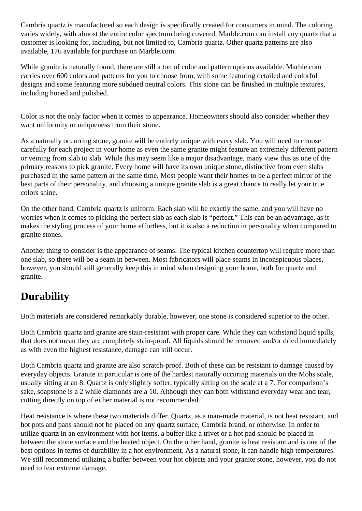<span id="page-1-0"></span>Cambria quartz is manufactured so each design is specifically created for consumers in mind. The coloring varies widely, with almost the entire color spectrum being covered. Marble.com can install any quartz that a customer is looking for, including, but not limited to, Cambria quartz. Other quartz patterns are also available, 176 available for purchase on Marble.com.

While granite is naturally found, there are still a ton of color and pattern options available. Marble.com carries over 600 colors and patterns for you to choose from, with some featuring detailed and colorful designs and some featuring more subdued neutral colors. This stone can be finished in multiple textures, including honed and polished.

Color is not the only factor when it comes to appearance. Homeowners should also consider whether they want uniformity or uniqueness from their stone.

As a naturally occurring stone, granite will be entirely unique with every slab. You will need to choose carefully for each project in your home as even the same granite might feature an extremely different pattern or veining from slab to slab. While this may seem like a major disadvantage, many view this as one of the primary reasons to pick granite. Every home will have its own unique stone, distinctive from even slabs purchased in the same pattern at the same time. Most people want their homes to be a perfect mirror of the best parts of their personality, and choosing a unique granite slab is a great chance to really let your true colors shine.

On the other hand, Cambria quartz is uniform. Each slab will be exactly the same, and you will have no worries when it comes to picking the perfect slab as each slab is "perfect." This can be an advantage, as it makes the styling process of your home effortless, but it is also a reduction in personality when compared to granite stones.

Another thing to consider is the appearance of seams. The typical kitchen countertop will require more than one slab, so there will be a seam in between. Most fabricators will place seams in inconspicuous places, however, you should still generally keep this in mind when designing your home, both for quartz and granite.

# **Durability**

Both materials are considered remarkably durable, however, one stone is considered superior to the other.

Both Cambria quartz and granite are stain-resistant with proper care. While they can withstand liquid spills, that does not mean they are completely stain-proof. All liquids should be removed and/or dried immediately as with even the highest resistance, damage can still occur.

Both Cambria quartz and granite are also scratch-proof. Both of these can be resistant to damage caused by everyday objects. Granite in particular is one of the hardest naturally occuring materials on the Mohs scale, usually sitting at an 8. Quartz is only slightly softer, typically sitting on the scale at a 7. For comparison's sake, soapstone is a 2 while diamonds are a 10. Although they can both withstand everyday wear and tear, cutting directly on top of either material is not recommended.

Heat resistance is where these two materials differ. Quartz, as a man-made material, is not heat resistant, and hot pots and pans should not be placed on any quartz surface, Cambria brand, or otherwise. In order to utilize quartz in an environment with hot items, a buffer like a trivet or a hot pad should be placed in between the stone surface and the heated object. On the other hand, granite is heat resistant and is one of the best options in terms of durability in a hot environment. As a natural stone, it can handle high temperatures. We still recommend utilizing a buffer between your hot objects and your granite stone, however, you do not need to fear extreme damage.